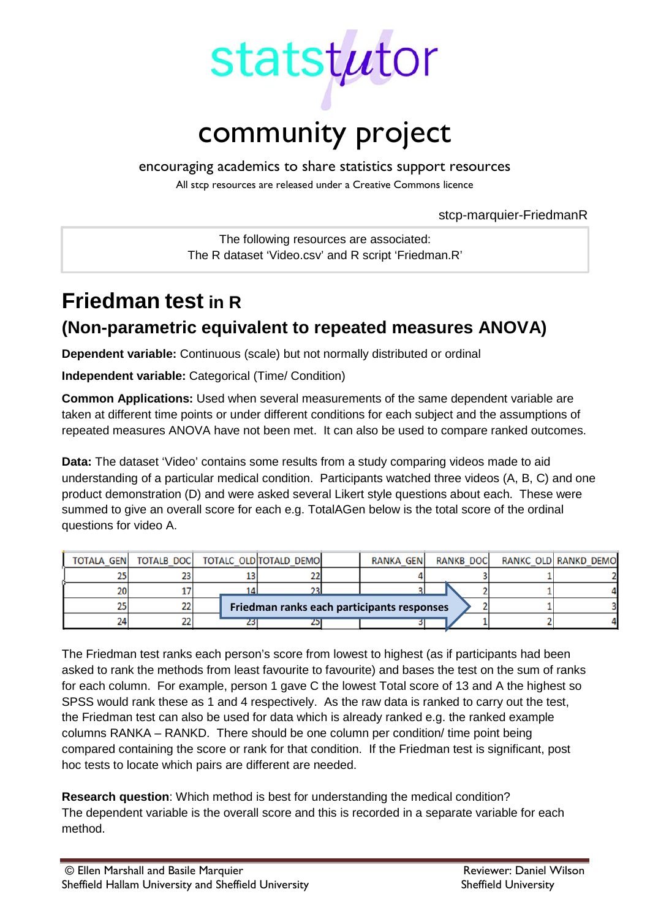

encouraging academics to share statistics support resources

All stcp resources are released under a Creative Commons licence

stcp-marquier-FriedmanR

The following resources are associated: The R dataset 'Video.csv' and R script 'Friedman.R'

# **Friedman test in R (Non-parametric equivalent to repeated measures ANOVA)**

**Dependent variable:** Continuous (scale) but not normally distributed or ordinal

**Independent variable:** Categorical (Time/ Condition)

**Common Applications:** Used when several measurements of the same dependent variable are taken at different time points or under different conditions for each subject and the assumptions of repeated measures ANOVA have not been met. It can also be used to compare ranked outcomes.

**Data:** The dataset 'Video' contains some results from a study comparing videos made to aid understanding of a particular medical condition. Participants watched three videos (A, B, C) and one product demonstration (D) and were asked several Likert style questions about each. These were summed to give an overall score for each e.g. TotalAGen below is the total score of the ordinal questions for video A.

|     |    | TOTALA GEN   TOTALB DOC   TOTALC OLD TOTALD DEMO |  | RANKA GEN |  | RANKB DOCI |  | RANKC OLD RANKD DEMO |
|-----|----|--------------------------------------------------|--|-----------|--|------------|--|----------------------|
|     |    |                                                  |  |           |  |            |  |                      |
| 201 |    |                                                  |  |           |  |            |  |                      |
|     | 22 | Friedman ranks each participants responses       |  |           |  |            |  |                      |
| 241 |    |                                                  |  |           |  |            |  |                      |

The Friedman test ranks each person's score from lowest to highest (as if participants had been asked to rank the methods from least favourite to favourite) and bases the test on the sum of ranks for each column. For example, person 1 gave C the lowest Total score of 13 and A the highest so SPSS would rank these as 1 and 4 respectively. As the raw data is ranked to carry out the test, the Friedman test can also be used for data which is already ranked e.g. the ranked example columns RANKA – RANKD. There should be one column per condition/ time point being compared containing the score or rank for that condition. If the Friedman test is significant, post hoc tests to locate which pairs are different are needed.

**Research question**: Which method is best for understanding the medical condition? The dependent variable is the overall score and this is recorded in a separate variable for each method.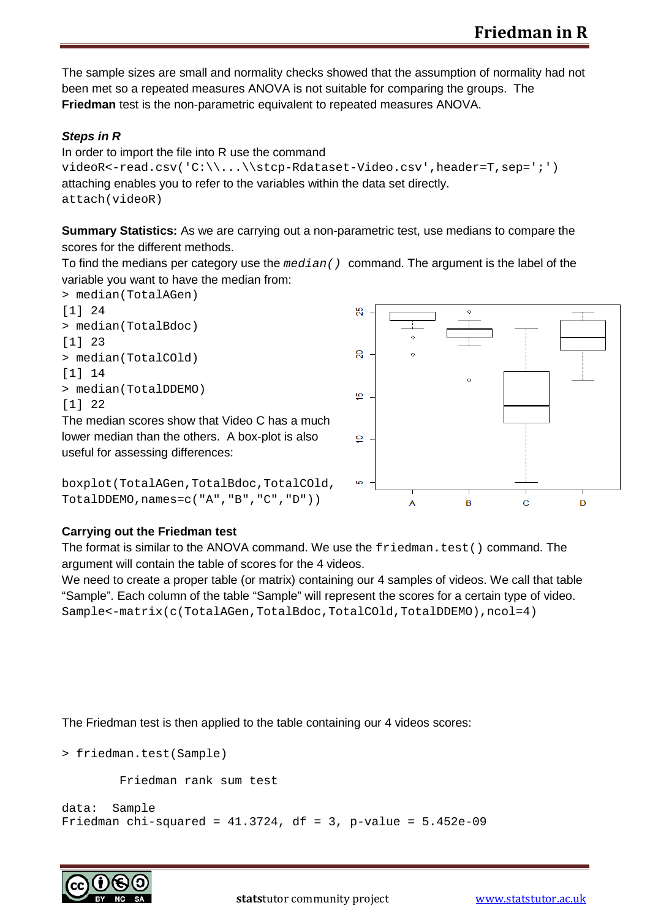The sample sizes are small and normality checks showed that the assumption of normality had not been met so a repeated measures ANOVA is not suitable for comparing the groups. The **Friedman** test is the non-parametric equivalent to repeated measures ANOVA.

#### *Steps in R*

In order to import the file into R use the command videoR<-read.csv('C:\\...\\stcp-Rdataset-Video.csv',header=T,sep=';') attaching enables you to refer to the variables within the data set directly. attach(videoR)

**Summary Statistics:** As we are carrying out a non-parametric test, use medians to compare the scores for the different methods.

To find the medians per category use the *median()* command. The argument is the label of the variable you want to have the median from:







#### **Carrying out the Friedman test**

The format is similar to the ANOVA command. We use the  $f$ riedman, test() command. The argument will contain the table of scores for the 4 videos.

We need to create a proper table (or matrix) containing our 4 samples of videos. We call that table "Sample". Each column of the table "Sample" will represent the scores for a certain type of video. Sample<-matrix(c(TotalAGen,TotalBdoc,TotalCOld,TotalDDEMO),ncol=4)

The Friedman test is then applied to the table containing our 4 videos scores:

> friedman.test(Sample)

Friedman rank sum test

```
data: Sample
Friedman chi-squared = 41.3724, df = 3, p-value = 5.452e-09
```